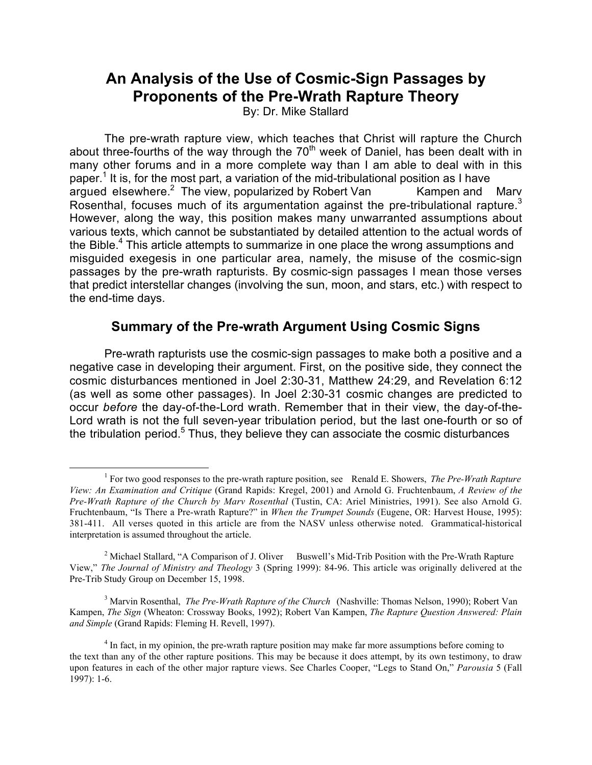# **An Analysis of the Use of Cosmic-Sign Passages by Proponents of the Pre-Wrath Rapture Theory**

By: Dr. Mike Stallard

The pre-wrath rapture view, which teaches that Christ will rapture the Church about three-fourths of the way through the  $70<sup>th</sup>$  week of Daniel, has been dealt with in many other forums and in a more complete way than I am able to deal with in this paper.<sup>1</sup> It is, for the most part, a variation of the mid-tribulational position as I have  $\frac{1}{2}$  argued elsewhere.<sup>2</sup> The view, popularized by Robert Van Kampen and Marv Rosenthal, focuses much of its argumentation against the pre-tribulational rapture.<sup>3</sup> However, along the way, this position makes many unwarranted assumptions about various texts, which cannot be substantiated by detailed attention to the actual words of the Bible.<sup>4</sup> This article attempts to summarize in one place the wrong assumptions and misguided exegesis in one particular area, namely, the misuse of the cosmic-sign passages by the pre-wrath rapturists. By cosmic-sign passages I mean those verses that predict interstellar changes (involving the sun, moon, and stars, etc.) with respect to the end-time days.

## **Summary of the Pre-wrath Argument Using Cosmic Signs**

Pre-wrath rapturists use the cosmic-sign passages to make both a positive and a negative case in developing their argument. First, on the positive side, they connect the cosmic disturbances mentioned in Joel 2:30-31, Matthew 24:29, and Revelation 6:12 (as well as some other passages). In Joel 2:30-31 cosmic changes are predicted to occur *before* the day-of-the-Lord wrath. Remember that in their view, the day-of-the-Lord wrath is not the full seven-year tribulation period, but the last one-fourth or so of the tribulation period.<sup>5</sup> Thus, they believe they can associate the cosmic disturbances

 $\frac{1}{1}$  For two good responses to the pre-wrath rapture position, see Renald E. Showers, *The Pre-Wrath Rapture View: An Examination and Critique* (Grand Rapids: Kregel, 2001) and Arnold G. Fruchtenbaum, *A Review of the Pre-Wrath Rapture of the Church by Marv Rosenthal* (Tustin, CA: Ariel Ministries, 1991). See also Arnold G. Fruchtenbaum, "Is There a Pre-wrath Rapture?" in *When the Trumpet Sounds* (Eugene, OR: Harvest House, 1995): 381-411. All verses quoted in this article are from the NASV unless otherwise noted. Grammatical-historical interpretation is assumed throughout the article.

<sup>&</sup>lt;sup>2</sup> Michael Stallard, "A Comparison of J. Oliver Buswell's Mid-Trib Position with the Pre-Wrath Rapture View," *The Journal of Ministry and Theology* 3 (Spring 1999): 84-96. This article was originally delivered at the Pre-Trib Study Group on December 15, 1998.

<sup>&</sup>lt;sup>3</sup> Marvin Rosenthal, *The Pre-Wrath Rapture of the Church* (Nashville: Thomas Nelson, 1990); Robert Van Kampen, *The Sign* (Wheaton: Crossway Books, 1992); Robert Van Kampen, *The Rapture Question Answered: Plain and Simple* (Grand Rapids: Fleming H. Revell, 1997).

<sup>&</sup>lt;sup>4</sup> In fact, in my opinion, the pre-wrath rapture position may make far more assumptions before coming to the text than any of the other rapture positions. This may be because it does attempt, by its own testimony, to draw upon features in each of the other major rapture views. See Charles Cooper, "Legs to Stand On," *Parousia* 5 (Fall 1997): 1-6.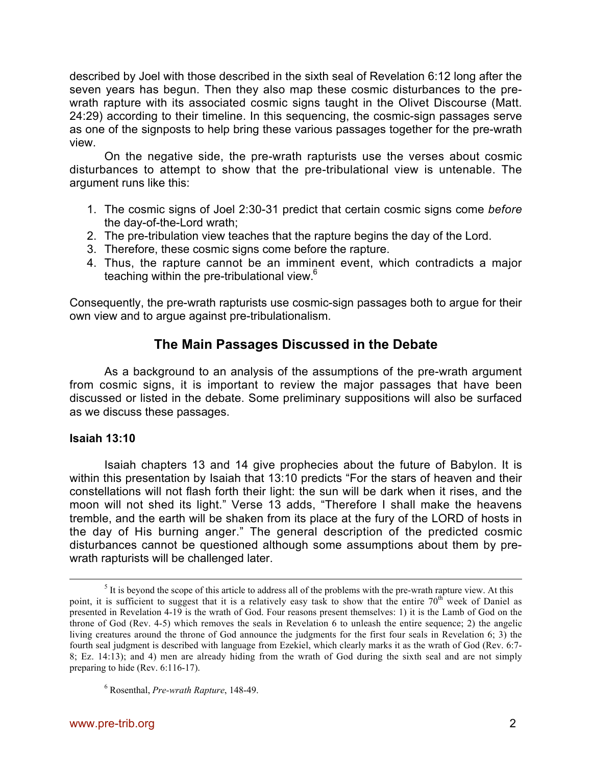described by Joel with those described in the sixth seal of Revelation 6:12 long after the seven years has begun. Then they also map these cosmic disturbances to the prewrath rapture with its associated cosmic signs taught in the Olivet Discourse (Matt. 24:29) according to their timeline. In this sequencing, the cosmic-sign passages serve as one of the signposts to help bring these various passages together for the pre-wrath view.

On the negative side, the pre-wrath rapturists use the verses about cosmic disturbances to attempt to show that the pre-tribulational view is untenable. The argument runs like this:

- 1. The cosmic signs of Joel 2:30-31 predict that certain cosmic signs come *before* the day-of-the-Lord wrath;
- 2. The pre-tribulation view teaches that the rapture begins the day of the Lord.
- 3. Therefore, these cosmic signs come before the rapture.
- 4. Thus, the rapture cannot be an imminent event, which contradicts a major teaching within the pre-tribulational view.<sup>6</sup>

Consequently, the pre-wrath rapturists use cosmic-sign passages both to argue for their own view and to argue against pre-tribulationalism.

## **The Main Passages Discussed in the Debate**

As a background to an analysis of the assumptions of the pre-wrath argument from cosmic signs, it is important to review the major passages that have been discussed or listed in the debate. Some preliminary suppositions will also be surfaced as we discuss these passages.

## **Isaiah 13:10**

Isaiah chapters 13 and 14 give prophecies about the future of Babylon. It is within this presentation by Isaiah that 13:10 predicts "For the stars of heaven and their constellations will not flash forth their light: the sun will be dark when it rises, and the moon will not shed its light." Verse 13 adds, "Therefore I shall make the heavens tremble, and the earth will be shaken from its place at the fury of the LORD of hosts in the day of His burning anger." The general description of the predicted cosmic disturbances cannot be questioned although some assumptions about them by prewrath rapturists will be challenged later.

 $rac{1}{5}$  $<sup>5</sup>$  It is beyond the scope of this article to address all of the problems with the pre-wrath rapture view. At this</sup> point, it is sufficient to suggest that it is a relatively easy task to show that the entire  $70<sup>th</sup>$  week of Daniel as presented in Revelation 4-19 is the wrath of God. Four reasons present themselves: 1) it is the Lamb of God on the throne of God (Rev. 4-5) which removes the seals in Revelation 6 to unleash the entire sequence; 2) the angelic living creatures around the throne of God announce the judgments for the first four seals in Revelation 6; 3) the fourth seal judgment is described with language from Ezekiel, which clearly marks it as the wrath of God (Rev. 6:7- 8; Ez. 14:13); and 4) men are already hiding from the wrath of God during the sixth seal and are not simply preparing to hide (Rev. 6:116-17).

<sup>6</sup> Rosenthal, *Pre-wrath Rapture*, 148-49.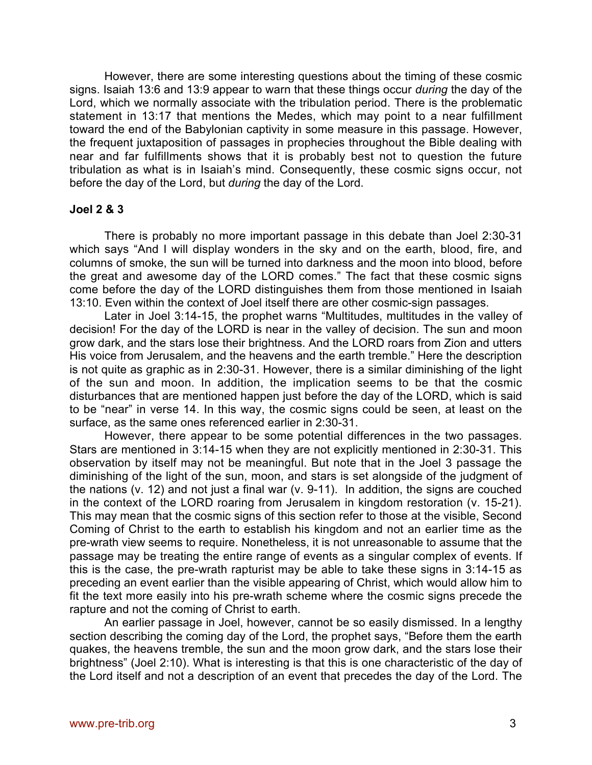However, there are some interesting questions about the timing of these cosmic signs. Isaiah 13:6 and 13:9 appear to warn that these things occur *during* the day of the Lord, which we normally associate with the tribulation period. There is the problematic statement in 13:17 that mentions the Medes, which may point to a near fulfillment toward the end of the Babylonian captivity in some measure in this passage. However, the frequent juxtaposition of passages in prophecies throughout the Bible dealing with near and far fulfillments shows that it is probably best not to question the future tribulation as what is in Isaiah's mind. Consequently, these cosmic signs occur, not before the day of the Lord, but *during* the day of the Lord.

### **Joel 2 & 3**

There is probably no more important passage in this debate than Joel 2:30-31 which says "And I will display wonders in the sky and on the earth, blood, fire, and columns of smoke, the sun will be turned into darkness and the moon into blood, before the great and awesome day of the LORD comes." The fact that these cosmic signs come before the day of the LORD distinguishes them from those mentioned in Isaiah 13:10. Even within the context of Joel itself there are other cosmic-sign passages.

Later in Joel 3:14-15, the prophet warns "Multitudes, multitudes in the valley of decision! For the day of the LORD is near in the valley of decision. The sun and moon grow dark, and the stars lose their brightness. And the LORD roars from Zion and utters His voice from Jerusalem, and the heavens and the earth tremble." Here the description is not quite as graphic as in 2:30-31. However, there is a similar diminishing of the light of the sun and moon. In addition, the implication seems to be that the cosmic disturbances that are mentioned happen just before the day of the LORD, which is said to be "near" in verse 14. In this way, the cosmic signs could be seen, at least on the surface, as the same ones referenced earlier in 2:30-31.

However, there appear to be some potential differences in the two passages. Stars are mentioned in 3:14-15 when they are not explicitly mentioned in 2:30-31. This observation by itself may not be meaningful. But note that in the Joel 3 passage the diminishing of the light of the sun, moon, and stars is set alongside of the judgment of the nations (v. 12) and not just a final war (v. 9-11). In addition, the signs are couched in the context of the LORD roaring from Jerusalem in kingdom restoration (v. 15-21). This may mean that the cosmic signs of this section refer to those at the visible, Second Coming of Christ to the earth to establish his kingdom and not an earlier time as the pre-wrath view seems to require. Nonetheless, it is not unreasonable to assume that the passage may be treating the entire range of events as a singular complex of events. If this is the case, the pre-wrath rapturist may be able to take these signs in 3:14-15 as preceding an event earlier than the visible appearing of Christ, which would allow him to fit the text more easily into his pre-wrath scheme where the cosmic signs precede the rapture and not the coming of Christ to earth.

An earlier passage in Joel, however, cannot be so easily dismissed. In a lengthy section describing the coming day of the Lord, the prophet says, "Before them the earth quakes, the heavens tremble, the sun and the moon grow dark, and the stars lose their brightness" (Joel 2:10). What is interesting is that this is one characteristic of the day of the Lord itself and not a description of an event that precedes the day of the Lord. The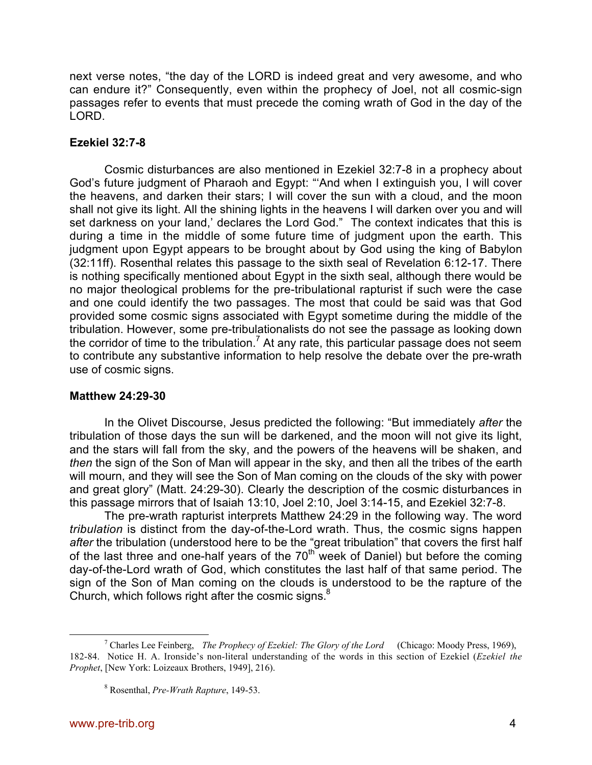next verse notes, "the day of the LORD is indeed great and very awesome, and who can endure it?" Consequently, even within the prophecy of Joel, not all cosmic-sign passages refer to events that must precede the coming wrath of God in the day of the LORD.

## **Ezekiel 32:7-8**

Cosmic disturbances are also mentioned in Ezekiel 32:7-8 in a prophecy about God's future judgment of Pharaoh and Egypt: "'And when I extinguish you, I will cover the heavens, and darken their stars; I will cover the sun with a cloud, and the moon shall not give its light. All the shining lights in the heavens I will darken over you and will set darkness on your land,' declares the Lord God." The context indicates that this is during a time in the middle of some future time of judgment upon the earth. This judgment upon Egypt appears to be brought about by God using the king of Babylon (32:11ff). Rosenthal relates this passage to the sixth seal of Revelation 6:12-17. There is nothing specifically mentioned about Egypt in the sixth seal, although there would be no major theological problems for the pre-tribulational rapturist if such were the case and one could identify the two passages. The most that could be said was that God provided some cosmic signs associated with Egypt sometime during the middle of the tribulation. However, some pre-tribulationalists do not see the passage as looking down the corridor of time to the tribulation.<sup>7</sup> At any rate, this particular passage does not seem to contribute any substantive information to help resolve the debate over the pre-wrath use of cosmic signs.

### **Matthew 24:29-30**

In the Olivet Discourse, Jesus predicted the following: "But immediately *after* the tribulation of those days the sun will be darkened, and the moon will not give its light, and the stars will fall from the sky, and the powers of the heavens will be shaken, and *then* the sign of the Son of Man will appear in the sky, and then all the tribes of the earth will mourn, and they will see the Son of Man coming on the clouds of the sky with power and great glory" (Matt. 24:29-30). Clearly the description of the cosmic disturbances in this passage mirrors that of Isaiah 13:10, Joel 2:10, Joel 3:14-15, and Ezekiel 32:7-8.

The pre-wrath rapturist interprets Matthew 24:29 in the following way. The word *tribulation* is distinct from the day-of-the-Lord wrath. Thus, the cosmic signs happen *after* the tribulation (understood here to be the "great tribulation" that covers the first half of the last three and one-half years of the  $70<sup>th</sup>$  week of Daniel) but before the coming day-of-the-Lord wrath of God, which constitutes the last half of that same period. The sign of the Son of Man coming on the clouds is understood to be the rapture of the Church, which follows right after the cosmic signs. $8$ 

 $\overline{\phantom{a}}$  Charles Lee Feinberg, *The Prophecy of Ezekiel: The Glory of the Lord* (Chicago: Moody Press, 1969), 182-84. Notice H. A. Ironside's non-literal understanding of the words in this section of Ezekiel (*Ezekiel the Prophet*, [New York: Loizeaux Brothers, 1949], 216).

<sup>8</sup> Rosenthal, *Pre-Wrath Rapture*, 149-53.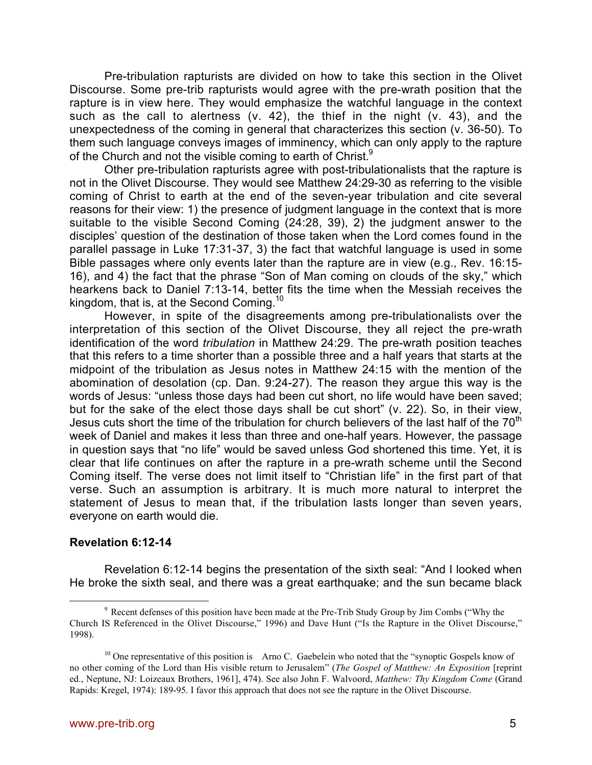Pre-tribulation rapturists are divided on how to take this section in the Olivet Discourse. Some pre-trib rapturists would agree with the pre-wrath position that the rapture is in view here. They would emphasize the watchful language in the context such as the call to alertness (v. 42), the thief in the night (v. 43), and the unexpectedness of the coming in general that characterizes this section (v. 36-50). To them such language conveys images of imminency, which can only apply to the rapture of the Church and not the visible coming to earth of Christ.<sup>9</sup>

Other pre-tribulation rapturists agree with post-tribulationalists that the rapture is not in the Olivet Discourse. They would see Matthew 24:29-30 as referring to the visible coming of Christ to earth at the end of the seven-year tribulation and cite several reasons for their view: 1) the presence of judgment language in the context that is more suitable to the visible Second Coming (24:28, 39), 2) the judgment answer to the disciples' question of the destination of those taken when the Lord comes found in the parallel passage in Luke 17:31-37, 3) the fact that watchful language is used in some Bible passages where only events later than the rapture are in view (e.g., Rev. 16:15- 16), and 4) the fact that the phrase "Son of Man coming on clouds of the sky," which hearkens back to Daniel 7:13-14, better fits the time when the Messiah receives the kingdom, that is, at the Second Coming.<sup>10</sup>

However, in spite of the disagreements among pre-tribulationalists over the interpretation of this section of the Olivet Discourse, they all reject the pre-wrath identification of the word *tribulation* in Matthew 24:29. The pre-wrath position teaches that this refers to a time shorter than a possible three and a half years that starts at the midpoint of the tribulation as Jesus notes in Matthew 24:15 with the mention of the abomination of desolation (cp. Dan. 9:24-27). The reason they argue this way is the words of Jesus: "unless those days had been cut short, no life would have been saved; but for the sake of the elect those days shall be cut short" (v. 22). So, in their view, Jesus cuts short the time of the tribulation for church believers of the last half of the  $70<sup>th</sup>$ week of Daniel and makes it less than three and one-half years. However, the passage in question says that "no life" would be saved unless God shortened this time. Yet, it is clear that life continues on after the rapture in a pre-wrath scheme until the Second Coming itself. The verse does not limit itself to "Christian life" in the first part of that verse. Such an assumption is arbitrary. It is much more natural to interpret the statement of Jesus to mean that, if the tribulation lasts longer than seven years, everyone on earth would die.

#### **Revelation 6:12-14**

Revelation 6:12-14 begins the presentation of the sixth seal: "And I looked when He broke the sixth seal, and there was a great earthquake; and the sun became black

 $9$  Recent defenses of this position have been made at the Pre-Trib Study Group by Jim Combs ("Why the Church IS Referenced in the Olivet Discourse," 1996) and Dave Hunt ("Is the Rapture in the Olivet Discourse," 1998).

 $10$  One representative of this position is Arno C. Gaebelein who noted that the "synoptic Gospels know of no other coming of the Lord than His visible return to Jerusalem" (*The Gospel of Matthew: An Exposition* [reprint ed., Neptune, NJ: Loizeaux Brothers, 1961], 474). See also John F. Walvoord, *Matthew: Thy Kingdom Come* (Grand Rapids: Kregel, 1974): 189-95. I favor this approach that does not see the rapture in the Olivet Discourse.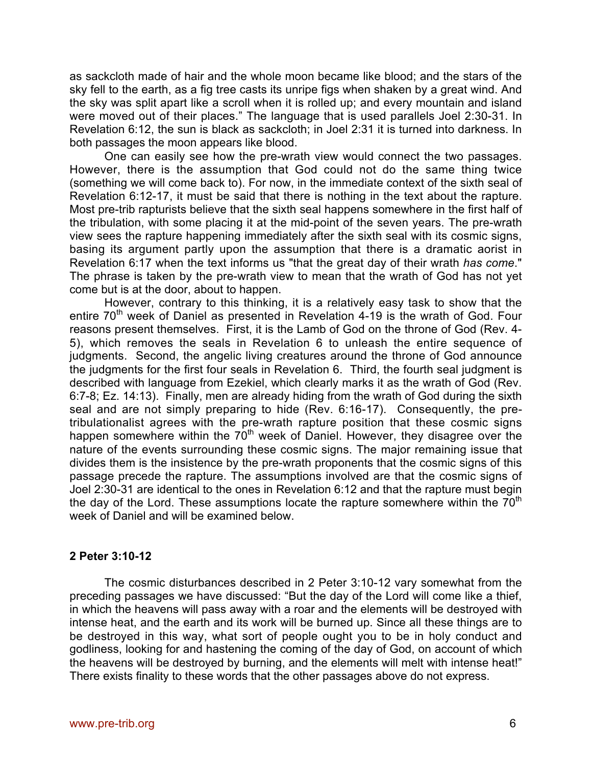as sackcloth made of hair and the whole moon became like blood; and the stars of the sky fell to the earth, as a fig tree casts its unripe figs when shaken by a great wind. And the sky was split apart like a scroll when it is rolled up; and every mountain and island were moved out of their places." The language that is used parallels Joel 2:30-31. In Revelation 6:12, the sun is black as sackcloth; in Joel 2:31 it is turned into darkness. In both passages the moon appears like blood.

One can easily see how the pre-wrath view would connect the two passages. However, there is the assumption that God could not do the same thing twice (something we will come back to). For now, in the immediate context of the sixth seal of Revelation 6:12-17, it must be said that there is nothing in the text about the rapture. Most pre-trib rapturists believe that the sixth seal happens somewhere in the first half of the tribulation, with some placing it at the mid-point of the seven years. The pre-wrath view sees the rapture happening immediately after the sixth seal with its cosmic signs, basing its argument partly upon the assumption that there is a dramatic aorist in Revelation 6:17 when the text informs us "that the great day of their wrath *has come*." The phrase is taken by the pre-wrath view to mean that the wrath of God has not yet come but is at the door, about to happen.

However, contrary to this thinking, it is a relatively easy task to show that the entire  $70<sup>th</sup>$  week of Daniel as presented in Revelation 4-19 is the wrath of God. Four reasons present themselves. First, it is the Lamb of God on the throne of God (Rev. 4- 5), which removes the seals in Revelation 6 to unleash the entire sequence of judgments. Second, the angelic living creatures around the throne of God announce the judgments for the first four seals in Revelation 6. Third, the fourth seal judgment is described with language from Ezekiel, which clearly marks it as the wrath of God (Rev. 6:7-8; Ez. 14:13). Finally, men are already hiding from the wrath of God during the sixth seal and are not simply preparing to hide (Rev. 6:16-17). Consequently, the pretribulationalist agrees with the pre-wrath rapture position that these cosmic signs happen somewhere within the  $70<sup>th</sup>$  week of Daniel. However, they disagree over the nature of the events surrounding these cosmic signs. The major remaining issue that divides them is the insistence by the pre-wrath proponents that the cosmic signs of this passage precede the rapture. The assumptions involved are that the cosmic signs of Joel 2:30-31 are identical to the ones in Revelation 6:12 and that the rapture must begin the day of the Lord. These assumptions locate the rapture somewhere within the  $70<sup>th</sup>$ week of Daniel and will be examined below.

### **2 Peter 3:10-12**

The cosmic disturbances described in 2 Peter 3:10-12 vary somewhat from the preceding passages we have discussed: "But the day of the Lord will come like a thief, in which the heavens will pass away with a roar and the elements will be destroyed with intense heat, and the earth and its work will be burned up. Since all these things are to be destroyed in this way, what sort of people ought you to be in holy conduct and godliness, looking for and hastening the coming of the day of God, on account of which the heavens will be destroyed by burning, and the elements will melt with intense heat!" There exists finality to these words that the other passages above do not express.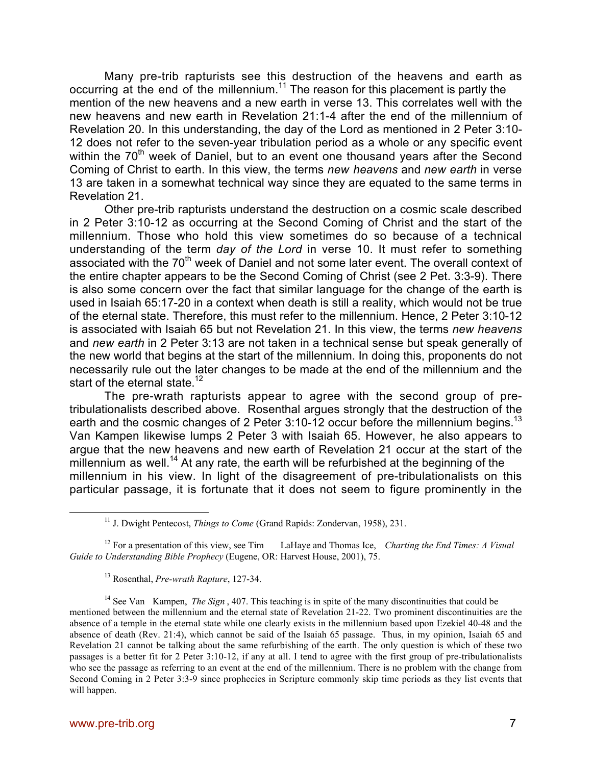Many pre-trib rapturists see this destruction of the heavens and earth as occurring at the end of the millennium.<sup>11</sup> The reason for this placement is partly the mention of the new heavens and a new earth in verse 13. This correlates well with the new heavens and new earth in Revelation 21:1-4 after the end of the millennium of Revelation 20. In this understanding, the day of the Lord as mentioned in 2 Peter 3:10- 12 does not refer to the seven-year tribulation period as a whole or any specific event within the 70<sup>th</sup> week of Daniel, but to an event one thousand years after the Second Coming of Christ to earth. In this view, the terms *new heavens* and *new earth* in verse 13 are taken in a somewhat technical way since they are equated to the same terms in Revelation 21.

Other pre-trib rapturists understand the destruction on a cosmic scale described in 2 Peter 3:10-12 as occurring at the Second Coming of Christ and the start of the millennium. Those who hold this view sometimes do so because of a technical understanding of the term *day of the Lord* in verse 10. It must refer to something associated with the 70<sup>th</sup> week of Daniel and not some later event. The overall context of the entire chapter appears to be the Second Coming of Christ (see 2 Pet. 3:3-9). There is also some concern over the fact that similar language for the change of the earth is used in Isaiah 65:17-20 in a context when death is still a reality, which would not be true of the eternal state. Therefore, this must refer to the millennium. Hence, 2 Peter 3:10-12 is associated with Isaiah 65 but not Revelation 21. In this view, the terms *new heavens* and *new earth* in 2 Peter 3:13 are not taken in a technical sense but speak generally of the new world that begins at the start of the millennium. In doing this, proponents do not necessarily rule out the later changes to be made at the end of the millennium and the start of the eternal state.<sup>12</sup>

The pre-wrath rapturists appear to agree with the second group of pretribulationalists described above. Rosenthal argues strongly that the destruction of the earth and the cosmic changes of 2 Peter 3:10-12 occur before the millennium begins.<sup>13</sup> Van Kampen likewise lumps 2 Peter 3 with Isaiah 65. However, he also appears to argue that the new heavens and new earth of Revelation 21 occur at the start of the millennium as well.<sup>14</sup> At any rate, the earth will be refurbished at the beginning of the millennium in his view. In light of the disagreement of pre-tribulationalists on this particular passage, it is fortunate that it does not seem to figure prominently in the

12 For a presentation of this view, see Tim LaHaye and Thomas Ice, *Charting the End Times: A Visual Guide to Understanding Bible Prophecy* (Eugene, OR: Harvest House, 2001), 75.

13 Rosenthal, *Pre-wrath Rapture*, 127-34.

<sup>14</sup> See Van Kampen, *The Sign*, 407. This teaching is in spite of the many discontinuities that could be mentioned between the millennium and the eternal state of Revelation 21-22. Two prominent discontinuities are the absence of a temple in the eternal state while one clearly exists in the millennium based upon Ezekiel 40-48 and the absence of death (Rev. 21:4), which cannot be said of the Isaiah 65 passage. Thus, in my opinion, Isaiah 65 and Revelation 21 cannot be talking about the same refurbishing of the earth. The only question is which of these two passages is a better fit for 2 Peter 3:10-12, if any at all. I tend to agree with the first group of pre-tribulationalists who see the passage as referring to an event at the end of the millennium. There is no problem with the change from Second Coming in 2 Peter 3:3-9 since prophecies in Scripture commonly skip time periods as they list events that will happen.

<sup>&</sup>lt;u>11</u> <sup>11</sup> J. Dwight Pentecost, *Things to Come* (Grand Rapids: Zondervan, 1958), 231.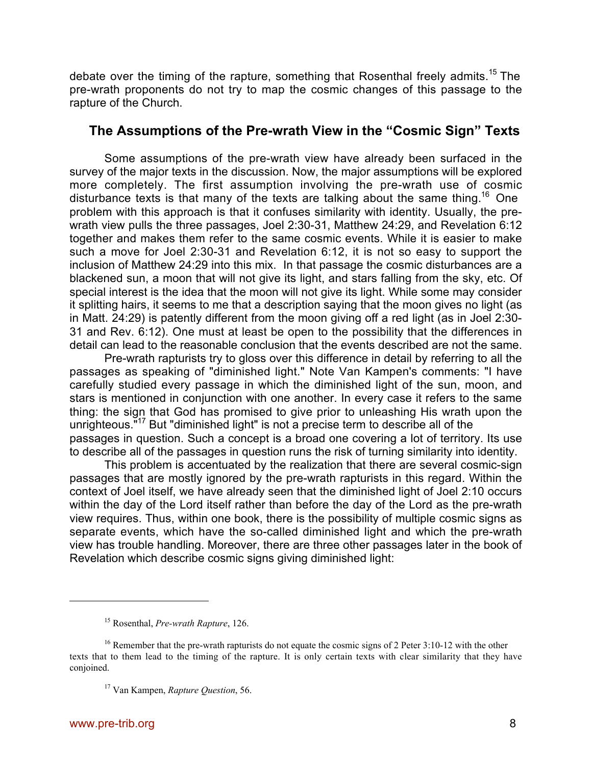debate over the timing of the rapture, something that Rosenthal freely admits.<sup>15</sup> The pre-wrath proponents do not try to map the cosmic changes of this passage to the rapture of the Church.

## **The Assumptions of the Pre-wrath View in the "Cosmic Sign" Texts**

Some assumptions of the pre-wrath view have already been surfaced in the survey of the major texts in the discussion. Now, the major assumptions will be explored more completely. The first assumption involving the pre-wrath use of cosmic disturbance texts is that many of the texts are talking about the same thing.<sup>16</sup> One problem with this approach is that it confuses similarity with identity. Usually, the prewrath view pulls the three passages, Joel 2:30-31, Matthew 24:29, and Revelation 6:12 together and makes them refer to the same cosmic events. While it is easier to make such a move for Joel 2:30-31 and Revelation 6:12, it is not so easy to support the inclusion of Matthew 24:29 into this mix. In that passage the cosmic disturbances are a blackened sun, a moon that will not give its light, and stars falling from the sky, etc. Of special interest is the idea that the moon will not give its light. While some may consider it splitting hairs, it seems to me that a description saying that the moon gives no light (as in Matt. 24:29) is patently different from the moon giving off a red light (as in Joel 2:30- 31 and Rev. 6:12). One must at least be open to the possibility that the differences in detail can lead to the reasonable conclusion that the events described are not the same.

Pre-wrath rapturists try to gloss over this difference in detail by referring to all the passages as speaking of "diminished light." Note Van Kampen's comments: "I have carefully studied every passage in which the diminished light of the sun, moon, and stars is mentioned in conjunction with one another. In every case it refers to the same thing: the sign that God has promised to give prior to unleashing His wrath upon the unrighteous."<sup>17</sup> But "diminished light" is not a precise term to describe all of the passages in question. Such a concept is a broad one covering a lot of territory. Its use to describe all of the passages in question runs the risk of turning similarity into identity.

This problem is accentuated by the realization that there are several cosmic-sign passages that are mostly ignored by the pre-wrath rapturists in this regard. Within the context of Joel itself, we have already seen that the diminished light of Joel 2:10 occurs within the day of the Lord itself rather than before the day of the Lord as the pre-wrath view requires. Thus, within one book, there is the possibility of multiple cosmic signs as separate events, which have the so-called diminished light and which the pre-wrath view has trouble handling. Moreover, there are three other passages later in the book of Revelation which describe cosmic signs giving diminished light:

 $\overline{a}$ 

<sup>15</sup> Rosenthal, *Pre-wrath Rapture*, 126.

<sup>&</sup>lt;sup>16</sup> Remember that the pre-wrath rapturists do not equate the cosmic signs of 2 Peter 3:10-12 with the other texts that to them lead to the timing of the rapture. It is only certain texts with clear similarity that they have conjoined.

<sup>17</sup> Van Kampen, *Rapture Question*, 56.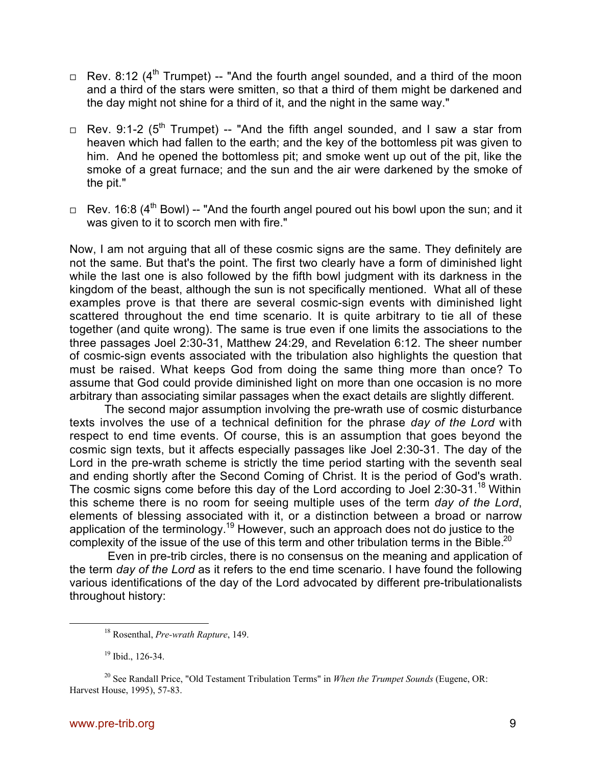- $\Box$  Rev. 8:12 (4<sup>th</sup> Trumpet) -- "And the fourth angel sounded, and a third of the moon and a third of the stars were smitten, so that a third of them might be darkened and the day might not shine for a third of it, and the night in the same way."
- $\Box$  Rev. 9:1-2 (5<sup>th</sup> Trumpet) -- "And the fifth angel sounded, and I saw a star from heaven which had fallen to the earth; and the key of the bottomless pit was given to him. And he opened the bottomless pit; and smoke went up out of the pit, like the smoke of a great furnace; and the sun and the air were darkened by the smoke of the pit."
- $\Box$  Rev. 16:8 (4<sup>th</sup> Bowl) -- "And the fourth angel poured out his bowl upon the sun; and it was given to it to scorch men with fire."

Now, I am not arguing that all of these cosmic signs are the same. They definitely are not the same. But that's the point. The first two clearly have a form of diminished light while the last one is also followed by the fifth bowl judgment with its darkness in the kingdom of the beast, although the sun is not specifically mentioned. What all of these examples prove is that there are several cosmic-sign events with diminished light scattered throughout the end time scenario. It is quite arbitrary to tie all of these together (and quite wrong). The same is true even if one limits the associations to the three passages Joel 2:30-31, Matthew 24:29, and Revelation 6:12. The sheer number of cosmic-sign events associated with the tribulation also highlights the question that must be raised. What keeps God from doing the same thing more than once? To assume that God could provide diminished light on more than one occasion is no more arbitrary than associating similar passages when the exact details are slightly different.

The second major assumption involving the pre-wrath use of cosmic disturbance texts involves the use of a technical definition for the phrase *day of the Lord* with respect to end time events. Of course, this is an assumption that goes beyond the cosmic sign texts, but it affects especially passages like Joel 2:30-31. The day of the Lord in the pre-wrath scheme is strictly the time period starting with the seventh seal and ending shortly after the Second Coming of Christ. It is the period of God's wrath. The cosmic signs come before this day of the Lord according to Joel 2:30-31.<sup>18</sup> Within this scheme there is no room for seeing multiple uses of the term *day of the Lord*, elements of blessing associated with it, or a distinction between a broad or narrow application of the terminology.<sup>19</sup> However, such an approach does not do justice to the complexity of the issue of the use of this term and other tribulation terms in the Bible.<sup>20</sup>

Even in pre-trib circles, there is no consensus on the meaning and application of the term *day of the Lord* as it refers to the end time scenario. I have found the following various identifications of the day of the Lord advocated by different pre-tribulationalists throughout history:

 <sup>18</sup> Rosenthal, *Pre-wrath Rapture*, 149.

<sup>&</sup>lt;sup>19</sup> Ibid., 126-34.

<sup>&</sup>lt;sup>20</sup> See Randall Price, "Old Testament Tribulation Terms" in *When the Trumpet Sounds* (Eugene, OR: Harvest House, 1995), 57-83.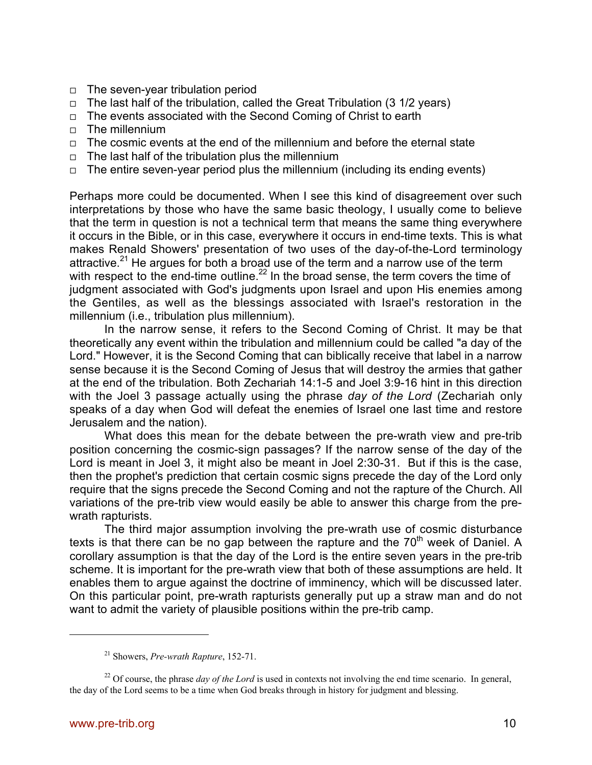- $\Box$  The seven-year tribulation period
- $\Box$  The last half of the tribulation, called the Great Tribulation (3 1/2 years)
- $\Box$  The events associated with the Second Coming of Christ to earth
- $\Box$  The millennium
- $\Box$  The cosmic events at the end of the millennium and before the eternal state
- $\Box$  The last half of the tribulation plus the millennium
- $\Box$  The entire seven-year period plus the millennium (including its ending events)

Perhaps more could be documented. When I see this kind of disagreement over such interpretations by those who have the same basic theology, I usually come to believe that the term in question is not a technical term that means the same thing everywhere it occurs in the Bible, or in this case, everywhere it occurs in end-time texts. This is what makes Renald Showers' presentation of two uses of the day-of-the-Lord terminology attractive.<sup>21</sup> He argues for both a broad use of the term and a narrow use of the term with respect to the end-time outline. $^{22}$  In the broad sense, the term covers the time of judgment associated with God's judgments upon Israel and upon His enemies among the Gentiles, as well as the blessings associated with Israel's restoration in the millennium (i.e., tribulation plus millennium).

In the narrow sense, it refers to the Second Coming of Christ. It may be that theoretically any event within the tribulation and millennium could be called "a day of the Lord." However, it is the Second Coming that can biblically receive that label in a narrow sense because it is the Second Coming of Jesus that will destroy the armies that gather at the end of the tribulation. Both Zechariah 14:1-5 and Joel 3:9-16 hint in this direction with the Joel 3 passage actually using the phrase *day of the Lord* (Zechariah only speaks of a day when God will defeat the enemies of Israel one last time and restore Jerusalem and the nation).

What does this mean for the debate between the pre-wrath view and pre-trib position concerning the cosmic-sign passages? If the narrow sense of the day of the Lord is meant in Joel 3, it might also be meant in Joel 2:30-31. But if this is the case, then the prophet's prediction that certain cosmic signs precede the day of the Lord only require that the signs precede the Second Coming and not the rapture of the Church. All variations of the pre-trib view would easily be able to answer this charge from the prewrath rapturists.

The third major assumption involving the pre-wrath use of cosmic disturbance texts is that there can be no gap between the rapture and the  $70<sup>th</sup>$  week of Daniel. A corollary assumption is that the day of the Lord is the entire seven years in the pre-trib scheme. It is important for the pre-wrath view that both of these assumptions are held. It enables them to argue against the doctrine of imminency, which will be discussed later. On this particular point, pre-wrath rapturists generally put up a straw man and do not want to admit the variety of plausible positions within the pre-trib camp.

 $\overline{a}$ 

<sup>21</sup> Showers, *Pre-wrath Rapture*, 152-71.

 $^{22}$  Of course, the phrase *day of the Lord* is used in contexts not involving the end time scenario. In general, the day of the Lord seems to be a time when God breaks through in history for judgment and blessing.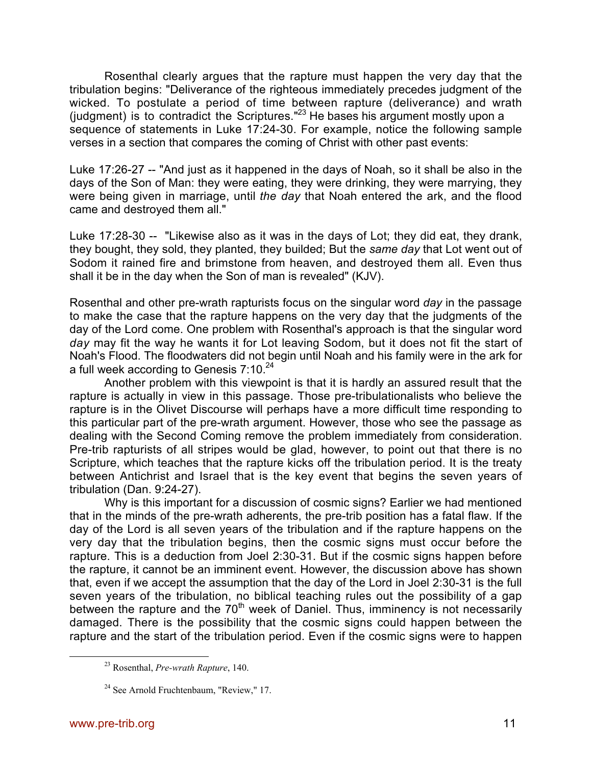Rosenthal clearly argues that the rapture must happen the very day that the tribulation begins: "Deliverance of the righteous immediately precedes judgment of the wicked. To postulate a period of time between rapture (deliverance) and wrath (judgment) is to contradict the Scriptures. $123$  He bases his argument mostly upon a sequence of statements in Luke 17:24-30. For example, notice the following sample verses in a section that compares the coming of Christ with other past events:

Luke 17:26-27 -- "And just as it happened in the days of Noah, so it shall be also in the days of the Son of Man: they were eating, they were drinking, they were marrying, they were being given in marriage, until *the day* that Noah entered the ark, and the flood came and destroyed them all."

Luke 17:28-30 -- "Likewise also as it was in the days of Lot; they did eat, they drank, they bought, they sold, they planted, they builded; But the *same day* that Lot went out of Sodom it rained fire and brimstone from heaven, and destroyed them all. Even thus shall it be in the day when the Son of man is revealed" (KJV).

Rosenthal and other pre-wrath rapturists focus on the singular word *day* in the passage to make the case that the rapture happens on the very day that the judgments of the day of the Lord come. One problem with Rosenthal's approach is that the singular word *day* may fit the way he wants it for Lot leaving Sodom, but it does not fit the start of Noah's Flood. The floodwaters did not begin until Noah and his family were in the ark for a full week according to Genesis 7:10.<sup>24</sup>

Another problem with this viewpoint is that it is hardly an assured result that the rapture is actually in view in this passage. Those pre-tribulationalists who believe the rapture is in the Olivet Discourse will perhaps have a more difficult time responding to this particular part of the pre-wrath argument. However, those who see the passage as dealing with the Second Coming remove the problem immediately from consideration. Pre-trib rapturists of all stripes would be glad, however, to point out that there is no Scripture, which teaches that the rapture kicks off the tribulation period. It is the treaty between Antichrist and Israel that is the key event that begins the seven years of tribulation (Dan. 9:24-27).

Why is this important for a discussion of cosmic signs? Earlier we had mentioned that in the minds of the pre-wrath adherents, the pre-trib position has a fatal flaw. If the day of the Lord is all seven years of the tribulation and if the rapture happens on the very day that the tribulation begins, then the cosmic signs must occur before the rapture. This is a deduction from Joel 2:30-31. But if the cosmic signs happen before the rapture, it cannot be an imminent event. However, the discussion above has shown that, even if we accept the assumption that the day of the Lord in Joel 2:30-31 is the full seven years of the tribulation, no biblical teaching rules out the possibility of a gap between the rapture and the  $70<sup>th</sup>$  week of Daniel. Thus, imminency is not necessarily damaged. There is the possibility that the cosmic signs could happen between the rapture and the start of the tribulation period. Even if the cosmic signs were to happen

 <sup>23</sup> Rosenthal, *Pre-wrath Rapture*, 140.

<sup>&</sup>lt;sup>24</sup> See Arnold Fruchtenbaum, "Review," 17.